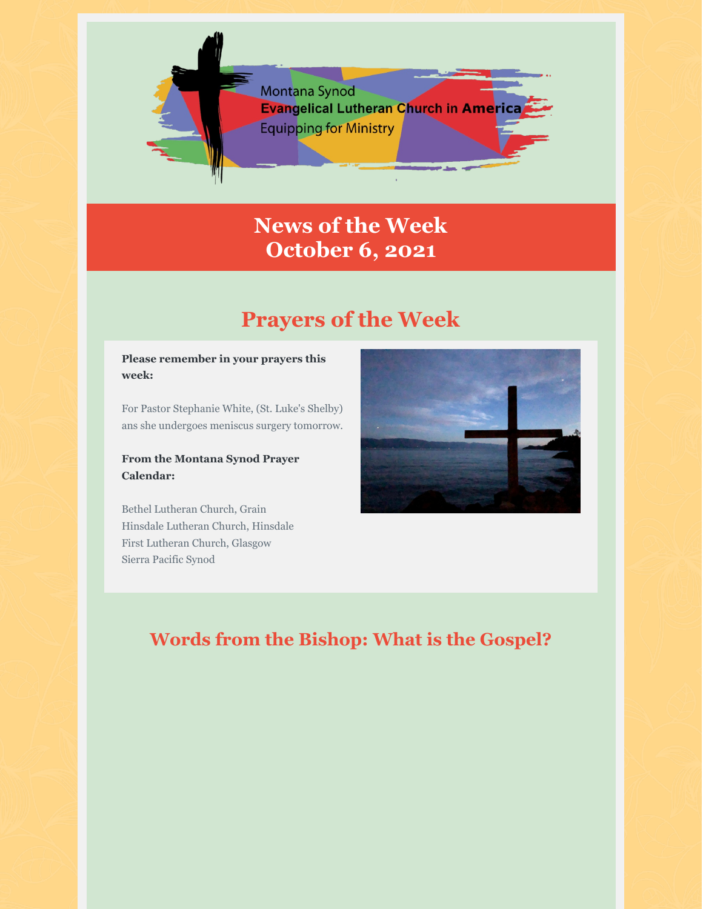

## **News of the Week October 6, 2021**

# **Prayers of the Week**

#### **Please remember in your prayers this week:**

For Pastor Stephanie White, (St. Luke's Shelby) ans she undergoes meniscus surgery tomorrow.

#### **From the Montana Synod Prayer Calendar:**

Bethel Lutheran Church, Grain Hinsdale Lutheran Church, Hinsdale First Lutheran Church, Glasgow Sierra Pacific Synod



### **Words from the Bishop: What is the Gospel?**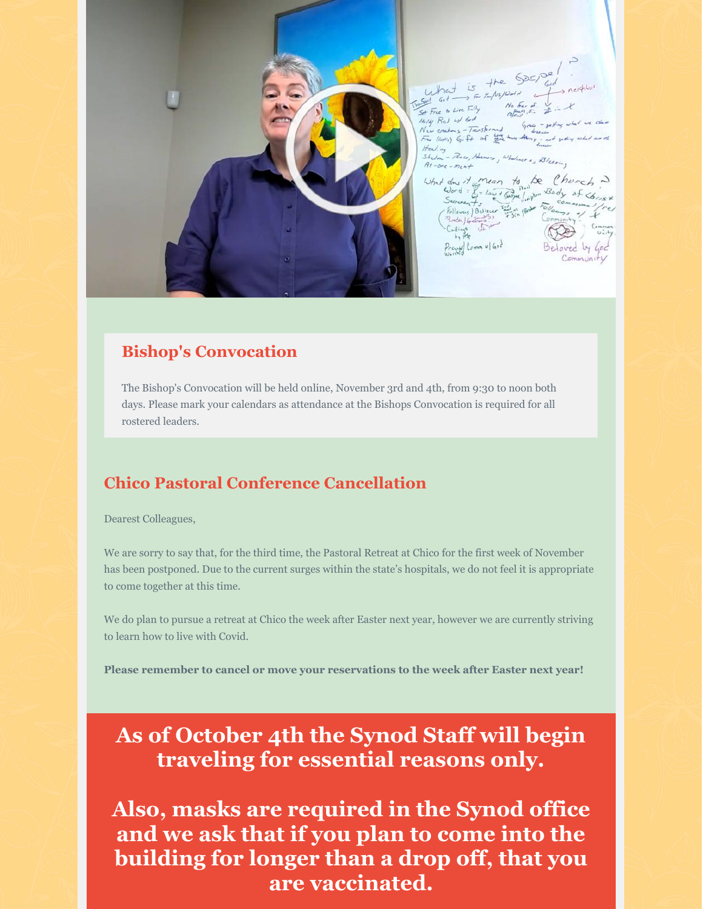what is the Sac, Will Rel w God - Transformed Fre (com) Gift of the at down the mean to be Church 2  $C$ ord =  $\frac{1}{2}$  =  $\frac{1}{2}$  =  $\frac{1}{2}$  =  $\frac{1}{2}$  =  $\frac{1}{2}$  =  $\frac{1}{2}$  =  $\frac{1}{2}$  =  $\frac{1}{2}$  =  $\frac{1}{2}$  =  $\frac{1}{2}$  =  $\frac{1}{2}$  =  $\frac{1}{2}$  =  $\frac{1}{2}$  =  $\frac{1}{2}$  =  $\frac{1}{2}$  =  $\frac{1}{2}$  =  $\frac{1}{2}$  =  $\frac{1}{2}$ following) Believer  $\sim$  of Cumm w/ God

### **Bishop's Convocation**

The Bishop's Convocation will be held online, November 3rd and 4th, from 9:30 to noon both days. Please mark your calendars as attendance at the Bishops Convocation is required for all rostered leaders.

### **Chico Pastoral Conference Cancellation**

Dearest Colleagues,

We are sorry to say that, for the third time, the Pastoral Retreat at Chico for the first week of November has been postponed. Due to the current surges within the state's hospitals, we do not feel it is appropriate to come together at this time.

We do plan to pursue a retreat at Chico the week after Easter next year, however we are currently striving to learn how to live with Covid.

**Please remember to cancel or move your reservations to the week after Easter next year!**

## **As of October 4th the Synod Staff will begin traveling for essential reasons only.**

**Also, masks are required in the Synod office and we ask that if you plan to come into the building for longer than a drop off, that you are vaccinated.**